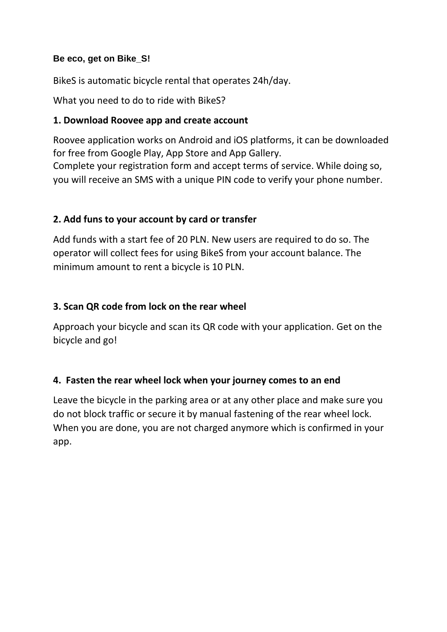### **Be eco, get on Bike\_S!**

BikeS is automatic bicycle rental that operates 24h/day.

What you need to do to ride with BikeS?

# **1. Download Roovee app and create account**

Roovee application works on Android and iOS platforms, it can be downloaded for free from Google Play, App Store and App Gallery.

Complete your registration form and accept terms of service. While doing so, you will receive an SMS with a unique PIN code to verify your phone number.

## **2. Add funs to your account by card or transfer**

Add funds with a start fee of 20 PLN. New users are required to do so. The operator will collect fees for using BikeS from your account balance. The minimum amount to rent a bicycle is 10 PLN.

## **3. Scan QR code from lock on the rear wheel**

Approach your bicycle and scan its QR code with your application. Get on the bicycle and go!

### **4. Fasten the rear wheel lock when your journey comes to an end**

Leave the bicycle in the parking area or at any other place and make sure you do not block traffic or secure it by manual fastening of the rear wheel lock. When you are done, you are not charged anymore which is confirmed in your app.